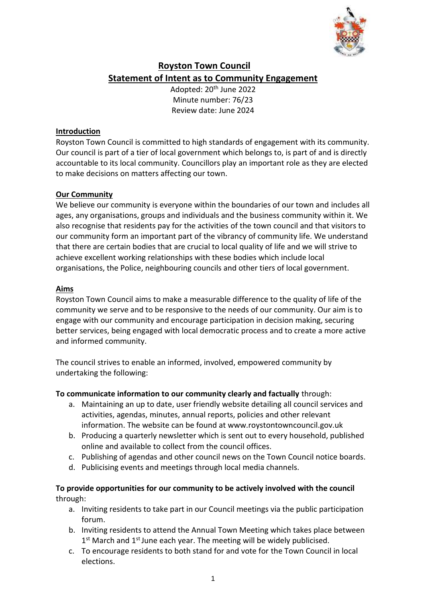

# **Royston Town Council Statement of Intent as to Community Engagement**

Adopted: 20<sup>th</sup> June 2022 Minute number: 76/23 Review date: June 2024

#### **Introduction**

Royston Town Council is committed to high standards of engagement with its community. Our council is part of a tier of local government which belongs to, is part of and is directly accountable to its local community. Councillors play an important role as they are elected to make decisions on matters affecting our town.

## **Our Community**

We believe our community is everyone within the boundaries of our town and includes all ages, any organisations, groups and individuals and the business community within it. We also recognise that residents pay for the activities of the town council and that visitors to our community form an important part of the vibrancy of community life. We understand that there are certain bodies that are crucial to local quality of life and we will strive to achieve excellent working relationships with these bodies which include local organisations, the Police, neighbouring councils and other tiers of local government.

#### **Aims**

Royston Town Council aims to make a measurable difference to the quality of life of the community we serve and to be responsive to the needs of our community. Our aim is to engage with our community and encourage participation in decision making, securing better services, being engaged with local democratic process and to create a more active and informed community.

The council strives to enable an informed, involved, empowered community by undertaking the following:

## **To communicate information to our community clearly and factually** through:

- a. Maintaining an up to date, user friendly website detailing all council services and activities, agendas, minutes, annual reports, policies and other relevant information. The website can be found at www.roystontowncouncil.gov.uk
- b. Producing a quarterly newsletter which is sent out to every household, published online and available to collect from the council offices.
- c. Publishing of agendas and other council news on the Town Council notice boards.
- d. Publicising events and meetings through local media channels.

## **To provide opportunities for our community to be actively involved with the council**  through:

- a. Inviting residents to take part in our Council meetings via the public participation forum.
- b. Inviting residents to attend the Annual Town Meeting which takes place between 1<sup>st</sup> March and 1<sup>st</sup> June each year. The meeting will be widely publicised.
- c. To encourage residents to both stand for and vote for the Town Council in local elections.